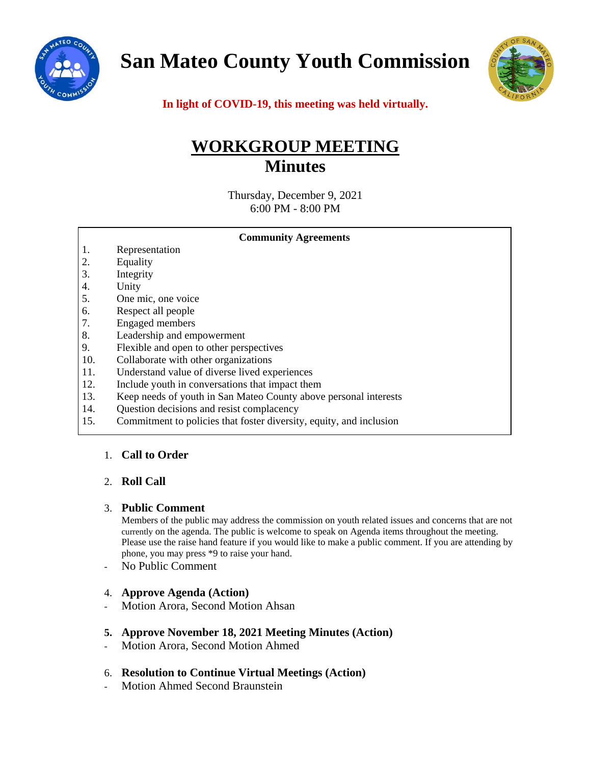

**San Mateo County Youth Commission**



**In light of COVID-19, this meeting was held virtually.**

# **WORKGROUP MEETING Minutes**

Thursday, December 9, 2021 6:00 PM - 8:00 PM

|     | <b>Community Agreements</b>                                         |
|-----|---------------------------------------------------------------------|
| 1.  | Representation                                                      |
| 2.  | Equality                                                            |
| 3.  | Integrity                                                           |
| 4.  | Unity                                                               |
| 5.  | One mic, one voice                                                  |
| 6.  | Respect all people                                                  |
| 7.  | <b>Engaged</b> members                                              |
| 8.  | Leadership and empowerment                                          |
| 9.  | Flexible and open to other perspectives                             |
| 10. | Collaborate with other organizations                                |
| 11. | Understand value of diverse lived experiences                       |
| 12. | Include youth in conversations that impact them                     |
| 13. | Keep needs of youth in San Mateo County above personal interests    |
| 14. | Question decisions and resist complacency                           |
| 15. | Commitment to policies that foster diversity, equity, and inclusion |

# 1. **Call to Order**

# 2. **Roll Call**

## 3. **Public Comment**

Members of the public may address the commission on youth related issues and concerns that are not currently on the agenda. The public is welcome to speak on Agenda items throughout the meeting. Please use the raise hand feature if you would like to make a public comment. If you are attending by phone, you may press \*9 to raise your hand.

No Public Comment

## 4. **Approve Agenda (Action)**

- Motion Arora, Second Motion Ahsan
- **5. Approve November 18, 2021 Meeting Minutes (Action)**
- Motion Arora, Second Motion Ahmed

## 6. **Resolution to Continue Virtual Meetings (Action)**

- Motion Ahmed Second Braunstein